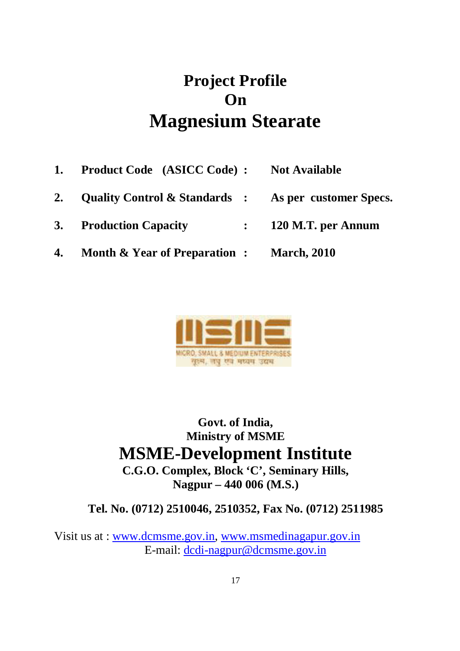# **Project Profile On Magnesium Stearate**

**1. Product Code (ASICC Code) : Not Available 2. Quality Control & Standards : As per customer Specs. 3. Production Capacity : 120 M.T. per Annum 4. Month & Year of Preparation : March, 2010**



**Govt. of India, Ministry of MSME MSME-Development Institute C.G.O. Complex, Block 'C', Seminary Hills, Nagpur – 440 006 (M.S.)**

**Tel. No. (0712) 2510046, 2510352, Fax No. (0712) 2511985**

Visit us at : www.dcmsme.gov.in, www.msmedinagapur.gov.in E-mail: dcdi-nagpur@dcmsme.gov.in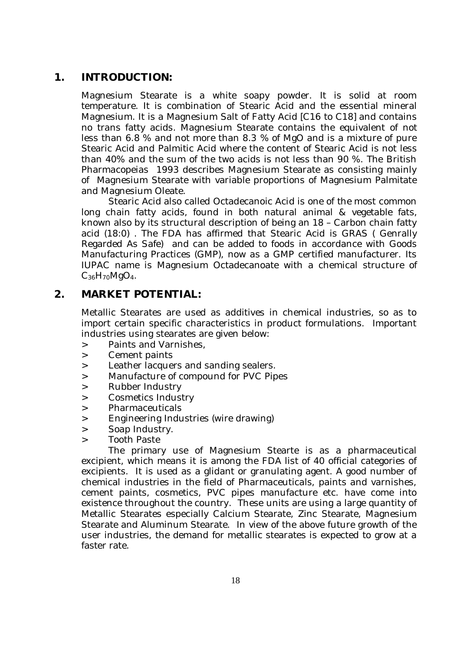#### **1. INTRODUCTION:**

Magnesium Stearate is a white soapy powder. It is solid at room temperature. It is combination of Stearic Acid and the essential mineral Magnesium. It is a Magnesium Salt of Fatty Acid [C16 to C18] and contains no trans fatty acids. Magnesium Stearate contains the equivalent of not less than 6.8 % and not more than 8.3 % of MgO and is a mixture of pure Stearic Acid and Palmitic Acid where the content of Stearic Acid is not less than 40% and the sum of the two acids is not less than 90 %. The British Pharmacopeias 1993 describes Magnesium Stearate as consisting mainly of Magnesium Stearate with variable proportions of Magnesium Palmitate and Magnesium Oleate.

Stearic Acid also called Octadecanoic Acid is one of the most common long chain fatty acids, found in both natural animal & vegetable fats, known also by its structural description of being an 18 – Carbon chain fatty acid (18:0) . The FDA has affirmed that Stearic Acid is GRAS ( Genrally Regarded As Safe) and can be added to foods in accordance with Goods Manufacturing Practices (GMP), now as a GMP certified manufacturer. Its IUPAC name is Magnesium Octadecanoate with a chemical structure of C36H70MgO4.

#### **2. MARKET POTENTIAL:**

Metallic Stearates are used as additives in chemical industries, so as to import certain specific characteristics in product formulations. Important industries using stearates are given below:

- > Paints and Varnishes,
- > Cement paints
- > Leather lacquers and sanding sealers.
- > Manufacture of compound for PVC Pipes
- > Rubber Industry
- > Cosmetics Industry
- > Pharmaceuticals
- > Engineering Industries (wire drawing)
- > Soap Industry.
- > Tooth Paste

The primary use of Magnesium Stearte is as a pharmaceutical excipient, which means it is among the FDA list of 40 official categories of excipients. It is used as a glidant or granulating agent. A good number of chemical industries in the field of Pharmaceuticals, paints and varnishes, cement paints, cosmetics, PVC pipes manufacture etc. have come into existence throughout the country. These units are using a large quantity of Metallic Stearates especially Calcium Stearate, Zinc Stearate, Magnesium Stearate and Aluminum Stearate. In view of the above future growth of the user industries, the demand for metallic stearates is expected to grow at a faster rate.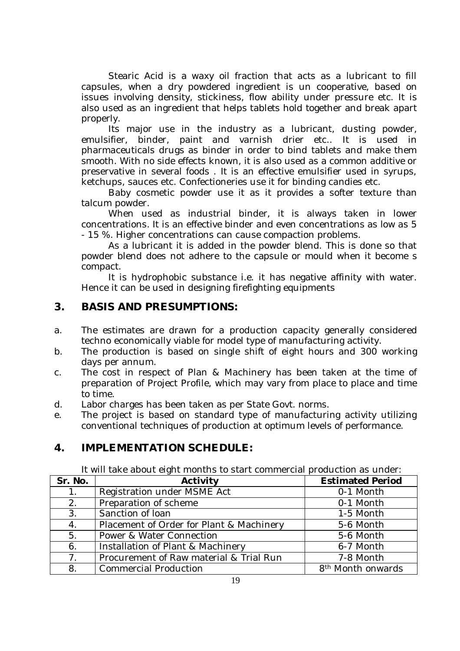Stearic Acid is a waxy oil fraction that acts as a lubricant to fill capsules, when a dry powdered ingredient is un cooperative, based on issues involving density, stickiness, flow ability under pressure etc. It is also used as an ingredient that helps tablets hold together and break apart properly.

Its major use in the industry as a lubricant, dusting powder, emulsifier, binder, paint and varnish drier etc.. It is used in pharmaceuticals drugs as binder in order to bind tablets and make them smooth. With no side effects known, it is also used as a common additive or preservative in several foods . It is an effective emulsifier used in syrups, ketchups, sauces etc. Confectioneries use it for binding candies etc.

Baby cosmetic powder use it as it provides a softer texture than talcum powder.

When used as industrial binder, it is always taken in lower concentrations. It is an effective binder and even concentrations as low as 5 - 15 %. Higher concentrations can cause compaction problems.

As a lubricant it is added in the powder blend. This is done so that powder blend does not adhere to the capsule or mould when it become s compact.

It is hydrophobic substance i.e. it has negative affinity with water. Hence it can be used in designing firefighting equipments

#### **3. BASIS AND PRESUMPTIONS:**

- a. The estimates are drawn for a production capacity generally considered techno economically viable for model type of manufacturing activity.
- b. The production is based on single shift of eight hours and 300 working days per annum.
- c. The cost in respect of Plan & Machinery has been taken at the time of preparation of Project Profile, which may vary from place to place and time to time.
- d. Labor charges has been taken as per State Govt. norms.
- e. The project is based on standard type of manufacturing activity utilizing conventional techniques of production at optimum levels of performance.

# **4. IMPLEMENTATION SCHEDULE:**

It will take about eight months to start commercial production as under:

| Sr. No.        | Activity                                 | <b>Estimated Period</b>       |
|----------------|------------------------------------------|-------------------------------|
| $1_{\cdot}$    | Registration under MSME Act              | 0-1 Month                     |
| 2.             | Preparation of scheme                    | 0-1 Month                     |
| 3.             | Sanction of loan                         | 1-5 Month                     |
| 4.             | Placement of Order for Plant & Machinery | 5-6 Month                     |
| 5.             | Power & Water Connection                 | 5-6 Month                     |
| 6.             | Installation of Plant & Machinery        | 6-7 Month                     |
| 7 <sub>1</sub> | Procurement of Raw material & Trial Run  | 7-8 Month                     |
| 8.             | <b>Commercial Production</b>             | 8 <sup>th</sup> Month onwards |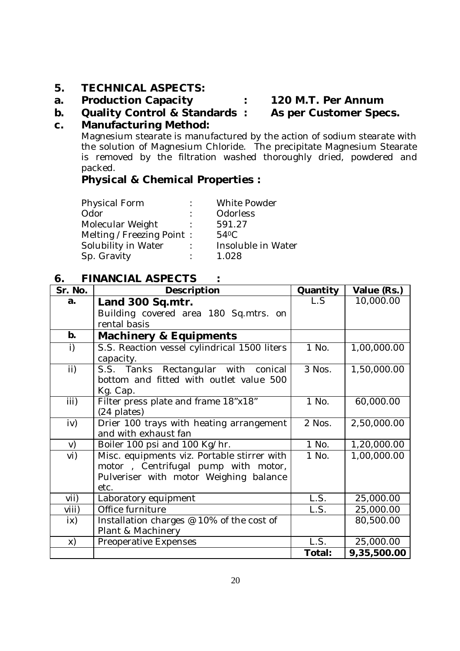#### **5. TECHNICAL ASPECTS:**

**a. Production Capacity : 120 M.T. Per Annum**

#### **b. Quality Control & Standards : As per Customer Specs.**

#### **c. Manufacturing Method:**

Magnesium stearate is manufactured by the action of sodium stearate with the solution of Magnesium Chloride. The precipitate Magnesium Stearate is removed by the filtration washed thoroughly dried, powdered and packed.

#### **Physical & Chemical Properties :**

Physical Form : White Powder Odor : Odorless<br>
Molecular Weight : 591.27 Molecular Weight Melting / Freezing Point : 54°C Solubility in Water : Insoluble in Water Sp. Gravity : 1.028

#### **6. FINANCIAL ASPECTS :**

| Sr. No.                | Description                                  | Quantity | Value (Rs.) |
|------------------------|----------------------------------------------|----------|-------------|
| a.                     | Land 300 Sq.mtr.                             | L.S      | 10,000.00   |
|                        | Building covered area 180 Sq.mtrs. on        |          |             |
|                        | rental basis                                 |          |             |
| b.                     | <b>Machinery &amp; Equipments</b>            |          |             |
| i)                     | S.S. Reaction vessel cylindrical 1500 liters | 1 No.    | 1,00,000.00 |
|                        | capacity.                                    |          |             |
| ii)                    | S.S. Tanks Rectangular with conical          | 3 Nos.   | 1,50,000.00 |
|                        | bottom and fitted with outlet value 500      |          |             |
|                        | Kg. Cap.                                     |          |             |
| iii)                   | Filter press plate and frame 18"x18"         | 1 No.    | 60,000.00   |
|                        | (24 plates)                                  |          |             |
| iv)                    | Drier 100 trays with heating arrangement     | 2 Nos.   | 2,50,000.00 |
|                        | and with exhaust fan                         |          |             |
| V)                     | Boiler 100 psi and 100 Kg/hr.                | 1 No.    | 1,20,000.00 |
| vi)                    | Misc. equipments viz. Portable stirrer with  | 1 No.    | 1,00,000.00 |
|                        | motor, Centrifugal pump with motor,          |          |             |
|                        | Pulveriser with motor Weighing balance       |          |             |
|                        | etc.                                         |          |             |
| $V$ ii)                | Laboratory equipment                         | L.S.     | 25,000.00   |
| viii)                  | Office furniture                             | L.S.     | 25,000.00   |
| $\mathsf{i}\mathsf{x}$ | Installation charges @ 10% of the cost of    |          | 80,500.00   |
|                        | Plant & Machinery                            |          |             |
| X)                     | Preoperative Expenses                        | L.S.     | 25,000.00   |
|                        |                                              | Total:   | 9,35,500.00 |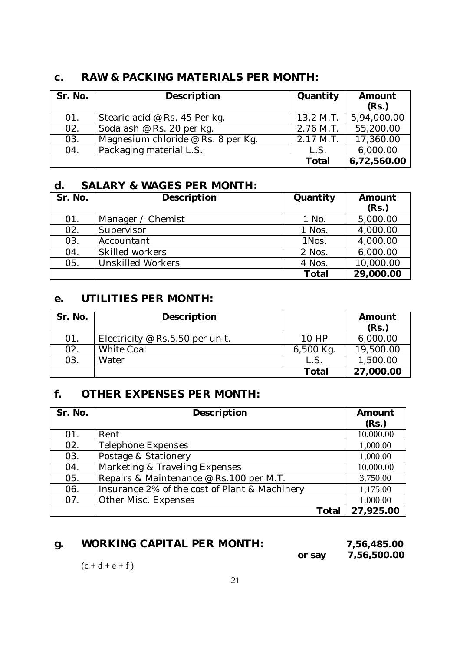#### **c. RAW & PACKING MATERIALS PER MONTH:**

| Sr. No. | Description                        | Quantity  | Amount<br>(Rs.) |
|---------|------------------------------------|-----------|-----------------|
| 01.     | Stearic acid @ Rs. 45 Per kg.      | 13.2 M.T. | 5,94,000.00     |
| 02.     | Soda ash @ Rs. 20 per kg.          | 2.76 M.T. | 55,200.00       |
| 03.     | Magnesium chloride @ Rs. 8 per Kg. | 2.17 M.T. | 17,360.00       |
| 04.     | Packaging material L.S.            | L.S.      | 6,000.00        |
|         |                                    | Total     | 6,72,560.00     |

### **d. SALARY & WAGES PER MONTH:**

| Sr. No. | Description              | Quantity     | Amount    |
|---------|--------------------------|--------------|-----------|
|         |                          |              | (Rs.)     |
| 01.     | Manager / Chemist        | 1 No.        | 5,000.00  |
| 02.     | Supervisor               | 1 Nos.       | 4,000.00  |
| 03.     | Accountant               | 1Nos.        | 4,000.00  |
| 04.     | Skilled workers          | 2 Nos.       | 6,000.00  |
| 05.     | <b>Unskilled Workers</b> | 4 Nos.       | 10,000.00 |
|         |                          | <b>Total</b> | 29,000.00 |

#### **e. UTILITIES PER MONTH:**

| Sr. No. | Description                     |           | Amount<br>(Rs.) |
|---------|---------------------------------|-----------|-----------------|
| 01.     | Electricity @ Rs.5.50 per unit. | 10HP      | 6,000.00        |
| 02.     | <b>White Coal</b>               | 6,500 Kg. | 19,500.00       |
| 03.     | Water                           | L.S       | 1,500.00        |
|         |                                 | Total     | 27,000.00       |

#### **f. OTHER EXPENSES PER MONTH:**

| Sr. No. | Description                                   | Amount    |
|---------|-----------------------------------------------|-----------|
|         |                                               | (Rs.)     |
| 01.     | Rent                                          | 10,000.00 |
| 02.     | Telephone Expenses                            | 1,000.00  |
| 03.     | Postage & Stationery                          | 1,000.00  |
| 04.     | Marketing & Traveling Expenses                | 10,000.00 |
| 05.     | Repairs & Maintenance @ Rs.100 per M.T.       | 3,750.00  |
| 06.     | Insurance 2% of the cost of Plant & Machinery | 1,175.00  |
| 07.     | Other Misc. Expenses                          | 1,000.00  |
|         | Total                                         | 27,925.00 |

#### **g. WORKING CAPITAL PER MONTH: 7,56,485.00**

**or say 7,56,500.00**

 $(c + d + e + f)$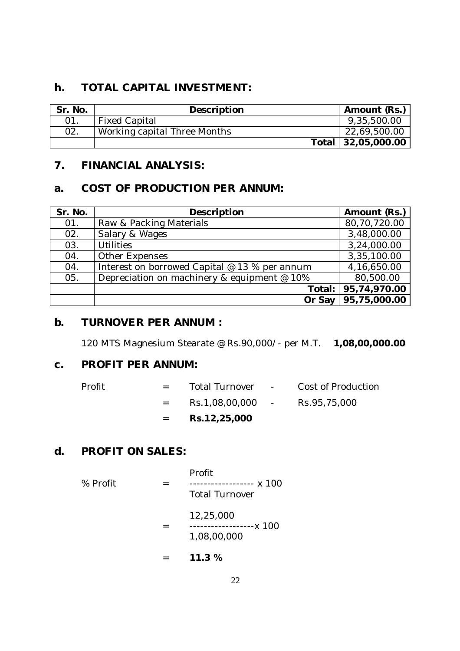#### **h. TOTAL CAPITAL INVESTMENT:**

| Sr. No. | Description                  | Amount (Rs.)       |
|---------|------------------------------|--------------------|
| 01.     | <b>Fixed Capital</b>         | 9,35,500.00        |
| 02.     | Working capital Three Months | 22,69,500.00       |
|         |                              | Total 32,05,000.00 |

# **7. FINANCIAL ANALYSIS:**

## **a. COST OF PRODUCTION PER ANNUM:**

| Sr. No. | Description                                   | Amount (Rs.)        |
|---------|-----------------------------------------------|---------------------|
| 01.     | Raw & Packing Materials                       | 80,70,720.00        |
| 02.     | Salary & Wages                                | 3,48,000.00         |
| 03.     | <b>Utilities</b>                              | 3,24,000.00         |
| 04.     | Other Expenses                                | 3,35,100.00         |
| 04.     | Interest on borrowed Capital @ 13 % per annum | 4,16,650.00         |
| 05.     | Depreciation on machinery & equipment @ 10%   | 80,500.00           |
|         |                                               | Total: 95,74,970.00 |
|         | Or Say                                        | 95,75,000.00        |

# **b. TURNOVER PER ANNUM :**

120 MTS Magnesium Stearate @ Rs.90,000/- per M.T. **1,08,00,000.00**

# **c. PROFIT PER ANNUM:**

|        | $=$ $-$ | Rs.12,25,000                  |                                     |
|--------|---------|-------------------------------|-------------------------------------|
|        | $=$ $-$ | Rs.1,08,00,000 - Rs.95,75,000 |                                     |
| Profit | $=$ $-$ |                               | Total Turnover - Cost of Production |

# **d. PROFIT ON SALES:**

| % Profit | Profit<br>------------ x 100<br><b>Total Turnover</b> |
|----------|-------------------------------------------------------|
|          | 12,25,000<br>-------------x 100<br>1,08,00,000        |

= **11.3 %**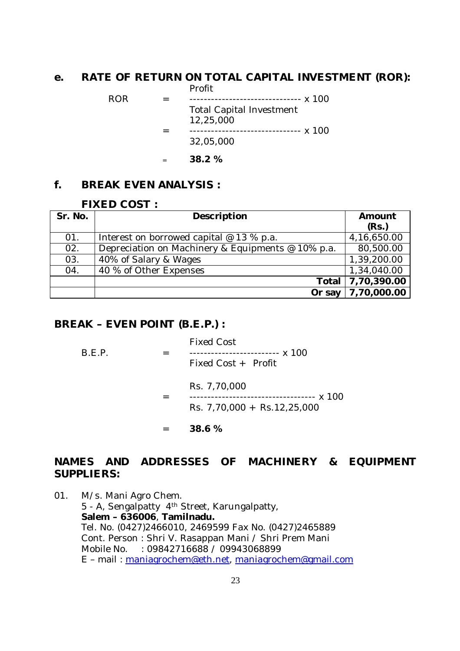#### **e. RATE OF RETURN ON TOTAL CAPITAL INVESTMENT (ROR):** Profit

|     | 38.2 %                                       |
|-----|----------------------------------------------|
|     | 32,05,000                                    |
|     | <b>Total Capital Investment</b><br>12,25,000 |
| ROR |                                              |
|     |                                              |

# **f. BREAK EVEN ANALYSIS :**

#### **FIXED COST :**

| Sr. No. | Description                                       | Amount      |
|---------|---------------------------------------------------|-------------|
|         |                                                   | (Rs.)       |
| 01.     | Interest on borrowed capital $@$ 13 % p.a.        | 4,16,650.00 |
| 02.     | Depreciation on Machinery & Equipments @ 10% p.a. | 80,500.00   |
| 03.     | 40% of Salary & Wages                             | 1,39,200.00 |
| 04.     | 40 % of Other Expenses                            | 1,34,040.00 |
|         | Total                                             | 7,70,390.00 |
|         | Or say                                            | 7,70,000.00 |

#### **BREAK – EVEN POINT (B.E.P.) :**

|        | 38.6 %                                                                      |
|--------|-----------------------------------------------------------------------------|
|        | Rs. 7,70,000<br>----------------- x 100<br>Rs. 7,70,000 + Rs. 12,25,000     |
| B.E.P. | <b>Fixed Cost</b><br>------------------------- x 100<br>Fixed Cost + Profit |

#### **NAMES AND ADDRESSES OF MACHINERY & EQUIPMENT SUPPLIERS:**

01. M/s. Mani Agro Chem. 5 - A, Sengalpatty 4th Street, Karungalpatty, **Salem – 636006**, **Tamilnadu.** Tel. No. (0427)2466010, 2469599 Fax No. (0427)2465889 Cont. Person : Shri V. Rasappan Mani / Shri Prem Mani Mobile No. : 09842716688 / 09943068899 E – mail : maniagrochem@eth.net, maniagrochem@gmail.com